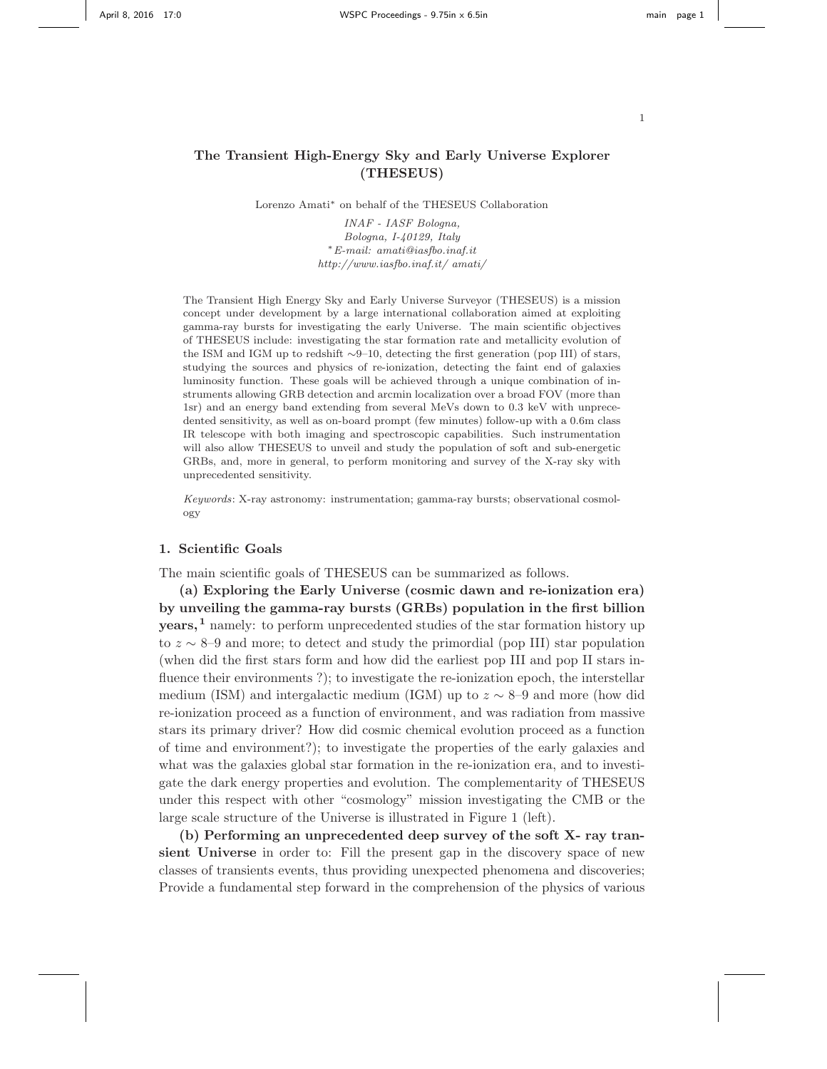# The Transient High-Energy Sky and Early Universe Explorer (THESEUS)

Lorenzo Amati<sup>∗</sup> on behalf of the THESEUS Collaboration

*INAF - IASF Bologna, Bologna, I-40129, Italy* <sup>∗</sup>*E-mail: amati@iasfbo.inaf.it http://www.iasfbo.inaf.it/ amati/*

The Transient High Energy Sky and Early Universe Surveyor (THESEUS) is a mission concept under development by a large international collaboration aimed at exploiting gamma-ray bursts for investigating the early Universe. The main scientific objectives of THESEUS include: investigating the star formation rate and metallicity evolution of the ISM and IGM up to redshift ∼9–10, detecting the first generation (pop III) of stars, studying the sources and physics of re-ionization, detecting the faint end of galaxies luminosity function. These goals will be achieved through a unique combination of instruments allowing GRB detection and arcmin localization over a broad FOV (more than 1sr) and an energy band extending from several MeVs down to 0.3 keV with unprecedented sensitivity, as well as on-board prompt (few minutes) follow-up with a 0.6m class IR telescope with both imaging and spectroscopic capabilities. Such instrumentation will also allow THESEUS to unveil and study the population of soft and sub-energetic GRBs, and, more in general, to perform monitoring and survey of the X-ray sky with unprecedented sensitivity.

*Keywords*: X-ray astronomy: instrumentation; gamma-ray bursts; observational cosmology

### 1. Scientific Goals

The main scientific goals of THESEUS can be summarized as follows.

(a) Exploring the Early Universe (cosmic dawn and re-ionization era) by unveiling the gamma-ray bursts (GRBs) population in the first billion **years,**<sup>1</sup> namely: to perform unprecedented studies of the star formation history up to z ∼ 8–9 and more; to detect and study the primordial (pop III) star population (when did the first stars form and how did the earliest pop III and pop II stars influence their environments ?); to investigate the re-ionization epoch, the interstellar medium (ISM) and intergalactic medium (IGM) up to  $z \sim 8$ –9 and more (how did re-ionization proceed as a function of environment, and was radiation from massive stars its primary driver? How did cosmic chemical evolution proceed as a function of time and environment?); to investigate the properties of the early galaxies and what was the galaxies global star formation in the re-ionization era, and to investigate the dark energy properties and evolution. The complementarity of THESEUS under this respect with other "cosmology" mission investigating the CMB or the large scale structure of the Universe is illustrated in Figure 1 (left).

(b) Performing an unprecedented deep survey of the soft X- ray transient Universe in order to: Fill the present gap in the discovery space of new classes of transients events, thus providing unexpected phenomena and discoveries; Provide a fundamental step forward in the comprehension of the physics of various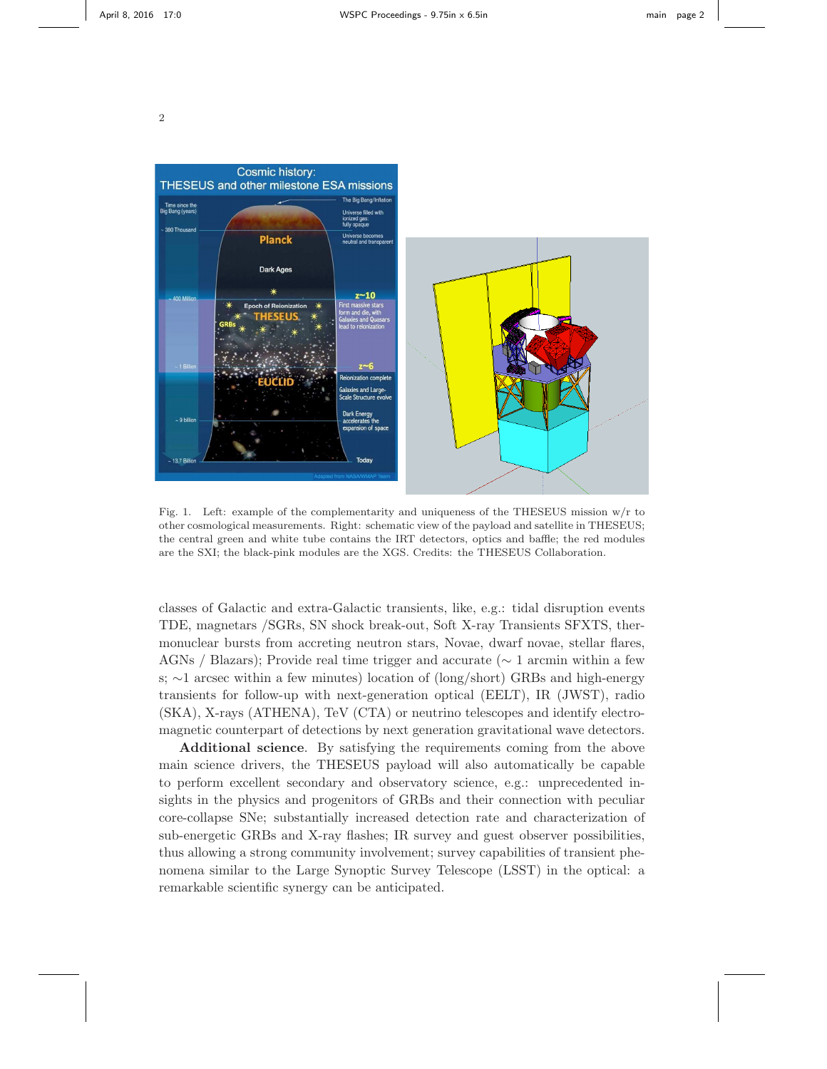

Fig. 1. Left: example of the complementarity and uniqueness of the THESEUS mission w/r to other cosmological measurements. Right: schematic view of the payload and satellite in THESEUS; the central green and white tube contains the IRT detectors, optics and baffle; the red modules are the SXI; the black-pink modules are the XGS. Credits: the THESEUS Collaboration.

classes of Galactic and extra-Galactic transients, like, e.g.: tidal disruption events TDE, magnetars /SGRs, SN shock break-out, Soft X-ray Transients SFXTS, thermonuclear bursts from accreting neutron stars, Novae, dwarf novae, stellar flares, AGNs / Blazars); Provide real time trigger and accurate (∼ 1 arcmin within a few s; ∼1 arcsec within a few minutes) location of (long/short) GRBs and high-energy transients for follow-up with next-generation optical (EELT), IR (JWST), radio (SKA), X-rays (ATHENA), TeV (CTA) or neutrino telescopes and identify electromagnetic counterpart of detections by next generation gravitational wave detectors.

Additional science. By satisfying the requirements coming from the above main science drivers, the THESEUS payload will also automatically be capable to perform excellent secondary and observatory science, e.g.: unprecedented insights in the physics and progenitors of GRBs and their connection with peculiar core-collapse SNe; substantially increased detection rate and characterization of sub-energetic GRBs and X-ray flashes; IR survey and guest observer possibilities, thus allowing a strong community involvement; survey capabilities of transient phenomena similar to the Large Synoptic Survey Telescope (LSST) in the optical: a remarkable scientific synergy can be anticipated.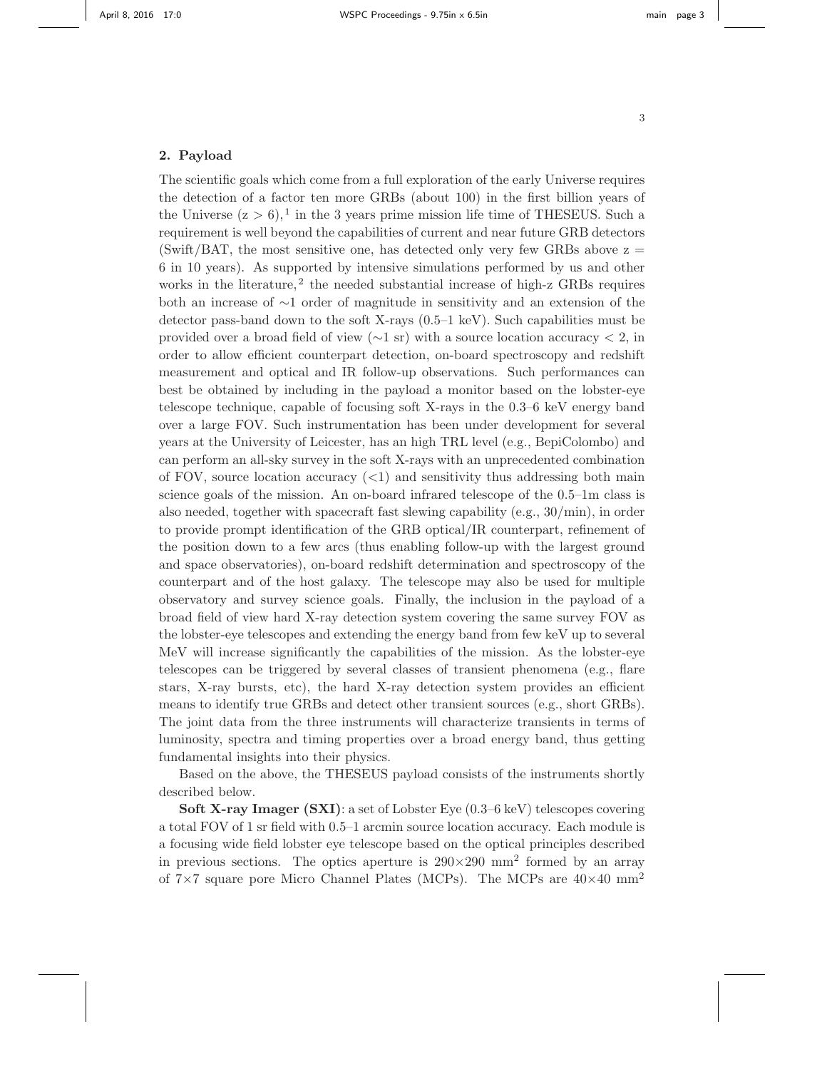## 2. Payload

The scientific goals which come from a full exploration of the early Universe requires the detection of a factor ten more GRBs (about 100) in the first billion years of the Universe  $(z > 6)$ ,<sup>1</sup> in the 3 years prime mission life time of THESEUS. Such a requirement is well beyond the capabilities of current and near future GRB detectors (Swift/BAT, the most sensitive one, has detected only very few GRBs above  $z =$ 6 in 10 years). As supported by intensive simulations performed by us and other works in the literature,<sup>2</sup> the needed substantial increase of high-z GRBs requires both an increase of ∼1 order of magnitude in sensitivity and an extension of the detector pass-band down to the soft X-rays (0.5–1 keV). Such capabilities must be provided over a broad field of view (∼1 sr) with a source location accuracy  $\lt$  2, in order to allow efficient counterpart detection, on-board spectroscopy and redshift measurement and optical and IR follow-up observations. Such performances can best be obtained by including in the payload a monitor based on the lobster-eye telescope technique, capable of focusing soft X-rays in the 0.3–6 keV energy band over a large FOV. Such instrumentation has been under development for several years at the University of Leicester, has an high TRL level (e.g., BepiColombo) and can perform an all-sky survey in the soft X-rays with an unprecedented combination of FOV, source location accuracy  $\langle \langle 1 \rangle$  and sensitivity thus addressing both main science goals of the mission. An on-board infrared telescope of the 0.5–1m class is also needed, together with spacecraft fast slewing capability (e.g., 30/min), in order to provide prompt identification of the GRB optical/IR counterpart, refinement of the position down to a few arcs (thus enabling follow-up with the largest ground and space observatories), on-board redshift determination and spectroscopy of the counterpart and of the host galaxy. The telescope may also be used for multiple observatory and survey science goals. Finally, the inclusion in the payload of a broad field of view hard X-ray detection system covering the same survey FOV as the lobster-eye telescopes and extending the energy band from few keV up to several MeV will increase significantly the capabilities of the mission. As the lobster-eye telescopes can be triggered by several classes of transient phenomena (e.g., flare stars, X-ray bursts, etc), the hard X-ray detection system provides an efficient means to identify true GRBs and detect other transient sources (e.g., short GRBs). The joint data from the three instruments will characterize transients in terms of luminosity, spectra and timing properties over a broad energy band, thus getting fundamental insights into their physics.

Based on the above, the THESEUS payload consists of the instruments shortly described below.

Soft X-ray Imager (SXI): a set of Lobster Eye (0.3–6 keV) telescopes covering a total FOV of 1 sr field with 0.5–1 arcmin source location accuracy. Each module is a focusing wide field lobster eye telescope based on the optical principles described in previous sections. The optics aperture is  $290 \times 290$  mm<sup>2</sup> formed by an array of  $7\times7$  square pore Micro Channel Plates (MCPs). The MCPs are  $40\times40$  mm<sup>2</sup>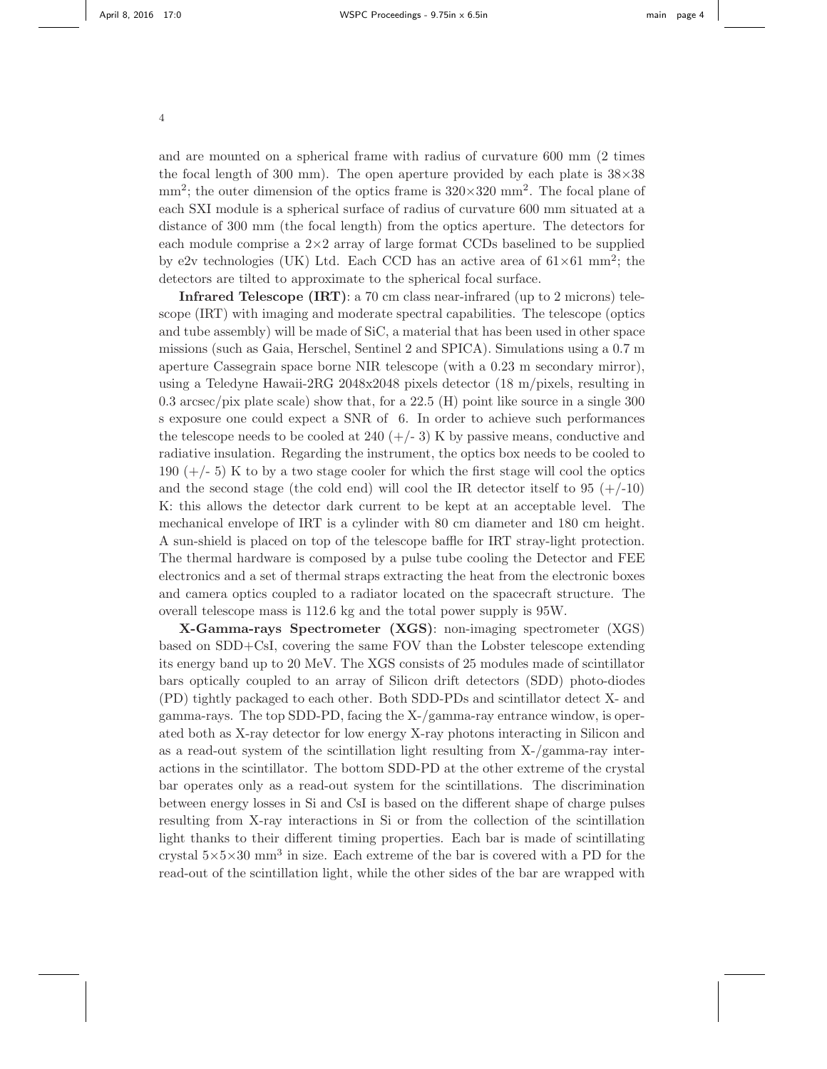and are mounted on a spherical frame with radius of curvature 600 mm (2 times the focal length of 300 mm). The open aperture provided by each plate is  $38\times38$ mm<sup>2</sup>; the outer dimension of the optics frame is  $320 \times 320$  mm<sup>2</sup>. The focal plane of each SXI module is a spherical surface of radius of curvature 600 mm situated at a distance of 300 mm (the focal length) from the optics aperture. The detectors for each module comprise a  $2\times 2$  array of large format CCDs baselined to be supplied by e2v technologies (UK) Ltd. Each CCD has an active area of  $61\times61$  mm<sup>2</sup>; the detectors are tilted to approximate to the spherical focal surface.

Infrared Telescope (IRT): a 70 cm class near-infrared (up to 2 microns) telescope (IRT) with imaging and moderate spectral capabilities. The telescope (optics and tube assembly) will be made of SiC, a material that has been used in other space missions (such as Gaia, Herschel, Sentinel 2 and SPICA). Simulations using a 0.7 m aperture Cassegrain space borne NIR telescope (with a 0.23 m secondary mirror), using a Teledyne Hawaii-2RG 2048x2048 pixels detector (18 m/pixels, resulting in 0.3 arcsec/pix plate scale) show that, for a 22.5 (H) point like source in a single 300 s exposure one could expect a SNR of 6. In order to achieve such performances the telescope needs to be cooled at 240  $(+/- 3)$  K by passive means, conductive and radiative insulation. Regarding the instrument, the optics box needs to be cooled to 190  $(+/- 5)$  K to by a two stage cooler for which the first stage will cool the optics and the second stage (the cold end) will cool the IR detector itself to 95  $(+/-10)$ K: this allows the detector dark current to be kept at an acceptable level. The mechanical envelope of IRT is a cylinder with 80 cm diameter and 180 cm height. A sun-shield is placed on top of the telescope baffle for IRT stray-light protection. The thermal hardware is composed by a pulse tube cooling the Detector and FEE electronics and a set of thermal straps extracting the heat from the electronic boxes and camera optics coupled to a radiator located on the spacecraft structure. The overall telescope mass is 112.6 kg and the total power supply is 95W.

X-Gamma-rays Spectrometer (XGS): non-imaging spectrometer (XGS) based on SDD+CsI, covering the same FOV than the Lobster telescope extending its energy band up to 20 MeV. The XGS consists of 25 modules made of scintillator bars optically coupled to an array of Silicon drift detectors (SDD) photo-diodes (PD) tightly packaged to each other. Both SDD-PDs and scintillator detect X- and gamma-rays. The top SDD-PD, facing the X-/gamma-ray entrance window, is operated both as X-ray detector for low energy X-ray photons interacting in Silicon and as a read-out system of the scintillation light resulting from X-/gamma-ray interactions in the scintillator. The bottom SDD-PD at the other extreme of the crystal bar operates only as a read-out system for the scintillations. The discrimination between energy losses in Si and CsI is based on the different shape of charge pulses resulting from X-ray interactions in Si or from the collection of the scintillation light thanks to their different timing properties. Each bar is made of scintillating crystal  $5\times5\times30$  mm<sup>3</sup> in size. Each extreme of the bar is covered with a PD for the read-out of the scintillation light, while the other sides of the bar are wrapped with

4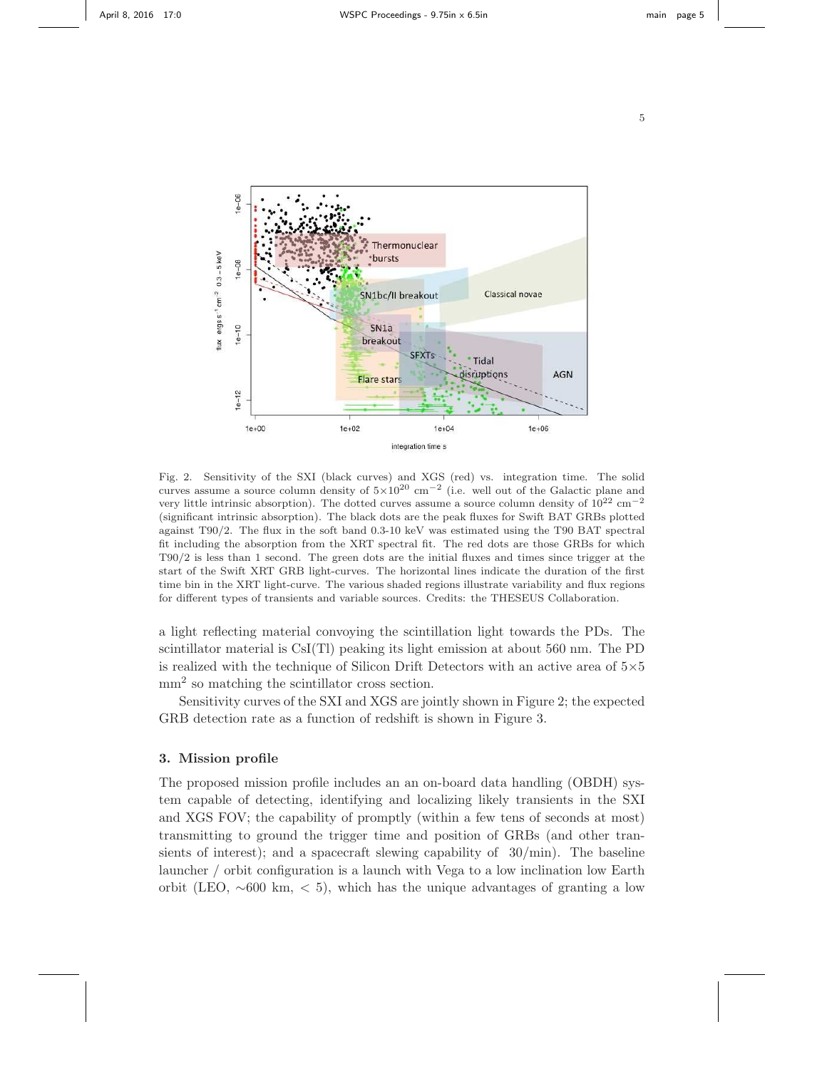

Fig. 2. Sensitivity of the SXI (black curves) and XGS (red) vs. integration time. The solid curves assume a source column density of  $5\times10^{20}$  cm<sup>-2</sup> (i.e. well out of the Galactic plane and very little intrinsic absorption). The dotted curves assume a source column density of  $10^{22}$  cm<sup>-2</sup> (significant intrinsic absorption). The black dots are the peak fluxes for Swift BAT GRBs plotted against T90/2. The flux in the soft band 0.3-10 keV was estimated using the T90 BAT spectral fit including the absorption from the XRT spectral fit. The red dots are those GRBs for which T90/2 is less than 1 second. The green dots are the initial fluxes and times since trigger at the start of the Swift XRT GRB light-curves. The horizontal lines indicate the duration of the first time bin in the XRT light-curve. The various shaded regions illustrate variability and flux regions for different types of transients and variable sources. Credits: the THESEUS Collaboration.

a light reflecting material convoying the scintillation light towards the PDs. The scintillator material is CsI(Tl) peaking its light emission at about 560 nm. The PD is realized with the technique of Silicon Drift Detectors with an active area of  $5\times5$ mm<sup>2</sup> so matching the scintillator cross section.

Sensitivity curves of the SXI and XGS are jointly shown in Figure 2; the expected GRB detection rate as a function of redshift is shown in Figure 3.

#### 3. Mission profile

The proposed mission profile includes an an on-board data handling (OBDH) system capable of detecting, identifying and localizing likely transients in the SXI and XGS FOV; the capability of promptly (within a few tens of seconds at most) transmitting to ground the trigger time and position of GRBs (and other transients of interest); and a spacecraft slewing capability of  $30/\text{min}$ . The baseline launcher / orbit configuration is a launch with Vega to a low inclination low Earth orbit (LEO,  $\sim 600 \text{ km}$ , < 5), which has the unique advantages of granting a low